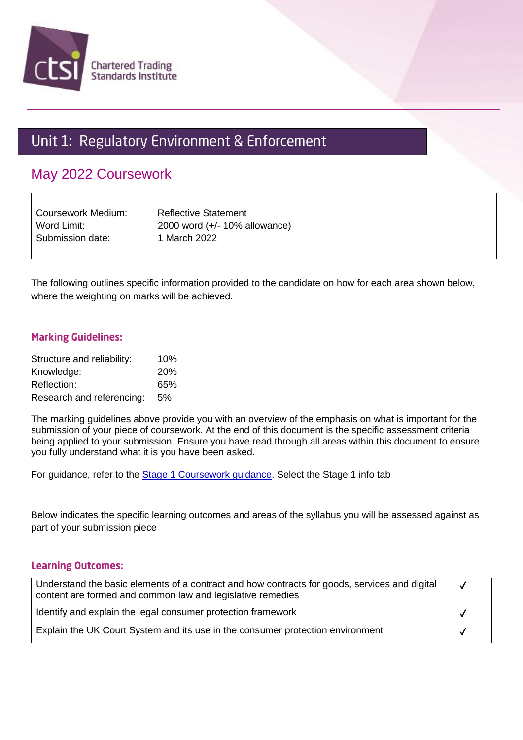

# Unit 1: Regulatory Environment & Enforcement

## May 2022 Coursework

| Coursework Medium: | <b>Reflective Statement</b>   |
|--------------------|-------------------------------|
| Word Limit:        | 2000 word (+/- 10% allowance) |
| Submission date:   | 1 March 2022                  |

The following outlines specific information provided to the candidate on how for each area shown below, where the weighting on marks will be achieved.

#### **Marking Guidelines:**

| Structure and reliability: | 10%        |
|----------------------------|------------|
| Knowledge:                 | <b>20%</b> |
| Reflection:                | 65%        |
| Research and referencing:  | 5%         |

The marking guidelines above provide you with an overview of the emphasis on what is important for the submission of your piece of coursework. At the end of this document is the specific assessment criteria being applied to your submission. Ensure you have read through all areas within this document to ensure you fully understand what it is you have been asked.

For guidance, refer to the **Stage 1 Coursework guidance**. Select the Stage 1 info tab

Below indicates the specific learning outcomes and areas of the syllabus you will be assessed against as part of your submission piece

#### **Learning Outcomes:**

| Understand the basic elements of a contract and how contracts for goods, services and digital<br>content are formed and common law and legislative remedies | $\boldsymbol{\mathcal{N}}$ |
|-------------------------------------------------------------------------------------------------------------------------------------------------------------|----------------------------|
| Identify and explain the legal consumer protection framework                                                                                                |                            |
| Explain the UK Court System and its use in the consumer protection environment                                                                              |                            |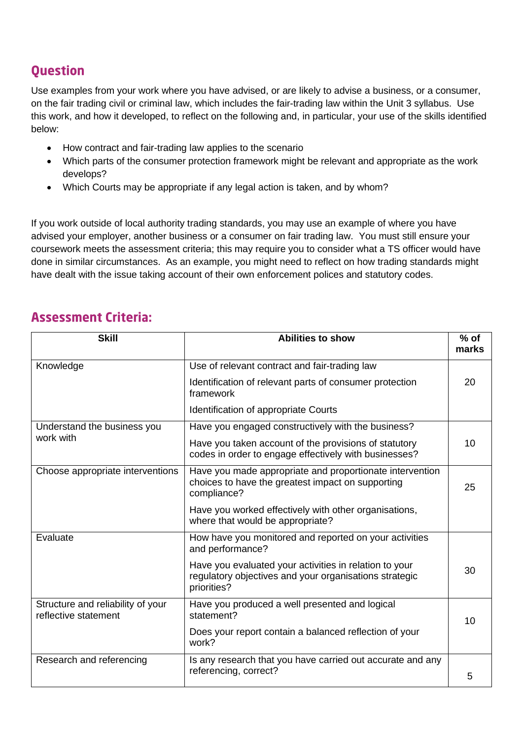## **Ouestion**

Use examples from your work where you have advised, or are likely to advise a business, or a consumer, on the fair trading civil or criminal law, which includes the fair-trading law within the Unit 3 syllabus. Use this work, and how it developed, to reflect on the following and, in particular, your use of the skills identified below:

- How contract and fair-trading law applies to the scenario
- Which parts of the consumer protection framework might be relevant and appropriate as the work develops?
- Which Courts may be appropriate if any legal action is taken, and by whom?

If you work outside of local authority trading standards, you may use an example of where you have advised your employer, another business or a consumer on fair trading law. You must still ensure your coursework meets the assessment criteria; this may require you to consider what a TS officer would have done in similar circumstances. As an example, you might need to reflect on how trading standards might have dealt with the issue taking account of their own enforcement polices and statutory codes.

## **Assessment Criteria:**

| <b>Skill</b>                                              | <b>Abilities to show</b>                                                                                                        | $%$ of<br>marks |
|-----------------------------------------------------------|---------------------------------------------------------------------------------------------------------------------------------|-----------------|
| Knowledge                                                 | Use of relevant contract and fair-trading law                                                                                   |                 |
|                                                           | Identification of relevant parts of consumer protection<br>framework                                                            | 20              |
|                                                           | Identification of appropriate Courts                                                                                            |                 |
| Understand the business you<br>work with                  | Have you engaged constructively with the business?                                                                              |                 |
|                                                           | Have you taken account of the provisions of statutory<br>codes in order to engage effectively with businesses?                  | 10              |
| Choose appropriate interventions                          | Have you made appropriate and proportionate intervention<br>choices to have the greatest impact on supporting<br>compliance?    | 25              |
|                                                           | Have you worked effectively with other organisations,<br>where that would be appropriate?                                       |                 |
| Evaluate                                                  | How have you monitored and reported on your activities<br>and performance?                                                      |                 |
|                                                           | Have you evaluated your activities in relation to your<br>regulatory objectives and your organisations strategic<br>priorities? | 30              |
| Structure and reliability of your<br>reflective statement | Have you produced a well presented and logical<br>statement?                                                                    | 10              |
|                                                           | Does your report contain a balanced reflection of your<br>work?                                                                 |                 |
| Research and referencing                                  | Is any research that you have carried out accurate and any<br>referencing, correct?                                             | 5               |